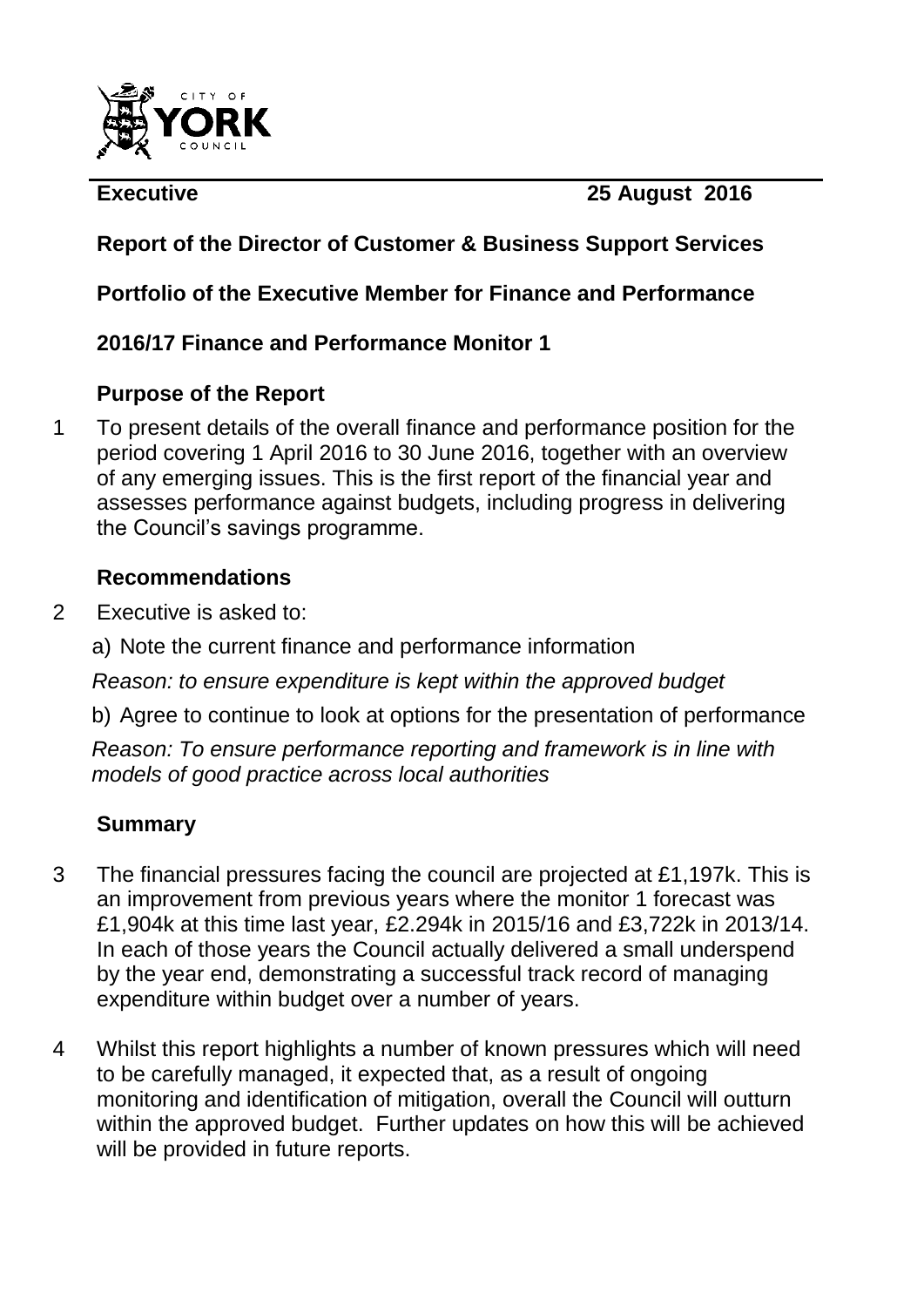

**Executive 25 August 2016** 

# **Report of the Director of Customer & Business Support Services**

# **Portfolio of the Executive Member for Finance and Performance**

# **2016/17 Finance and Performance Monitor 1**

# **Purpose of the Report**

1 To present details of the overall finance and performance position for the period covering 1 April 2016 to 30 June 2016, together with an overview of any emerging issues. This is the first report of the financial year and assesses performance against budgets, including progress in delivering the Council"s savings programme.

# **Recommendations**

- 2 Executive is asked to:
	- a) Note the current finance and performance information
	- *Reason: to ensure expenditure is kept within the approved budget*
	- b) Agree to continue to look at options for the presentation of performance

*Reason: To ensure performance reporting and framework is in line with models of good practice across local authorities*

# **Summary**

- 3 The financial pressures facing the council are projected at £1,197k. This is an improvement from previous years where the monitor 1 forecast was £1,904k at this time last year, £2.294k in 2015/16 and £3,722k in 2013/14. In each of those years the Council actually delivered a small underspend by the year end, demonstrating a successful track record of managing expenditure within budget over a number of years.
- 4 Whilst this report highlights a number of known pressures which will need to be carefully managed, it expected that, as a result of ongoing monitoring and identification of mitigation, overall the Council will outturn within the approved budget. Further updates on how this will be achieved will be provided in future reports.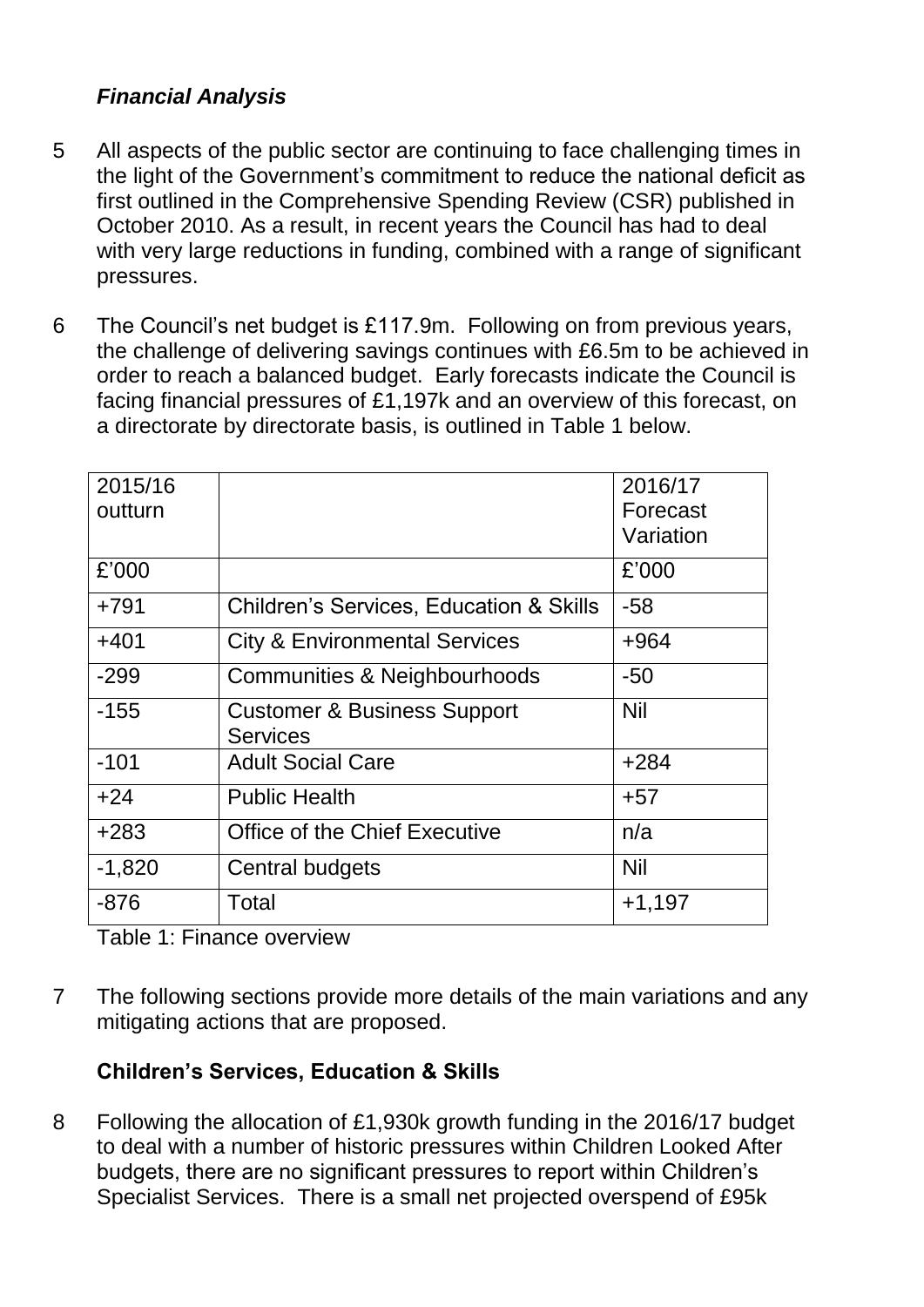# *Financial Analysis*

- 5 All aspects of the public sector are continuing to face challenging times in the light of the Government"s commitment to reduce the national deficit as first outlined in the Comprehensive Spending Review (CSR) published in October 2010. As a result, in recent years the Council has had to deal with very large reductions in funding, combined with a range of significant pressures.
- 6 The Council"s net budget is £117.9m. Following on from previous years, the challenge of delivering savings continues with £6.5m to be achieved in order to reach a balanced budget. Early forecasts indicate the Council is facing financial pressures of £1,197k and an overview of this forecast, on a directorate by directorate basis, is outlined in Table 1 below.

| 2015/16  |                                                    | 2016/17    |
|----------|----------------------------------------------------|------------|
| outturn  |                                                    | Forecast   |
|          |                                                    | Variation  |
| £'000    |                                                    | £'000      |
| $+791$   | <b>Children's Services, Education &amp; Skills</b> | -58        |
| $+401$   | <b>City &amp; Environmental Services</b>           | $+964$     |
| $-299$   | <b>Communities &amp; Neighbourhoods</b>            | $-50$      |
| $-155$   | <b>Customer &amp; Business Support</b>             | <b>Nil</b> |
|          | <b>Services</b>                                    |            |
| $-101$   | <b>Adult Social Care</b>                           | $+284$     |
| $+24$    | <b>Public Health</b>                               | $+57$      |
| $+283$   | <b>Office of the Chief Executive</b>               | n/a        |
| $-1,820$ | Central budgets                                    | <b>Nil</b> |
| $-876$   | Total                                              | $+1,197$   |

Table 1: Finance overview

7 The following sections provide more details of the main variations and any mitigating actions that are proposed.

# **Children's Services, Education & Skills**

8 Following the allocation of £1,930k growth funding in the 2016/17 budget to deal with a number of historic pressures within Children Looked After budgets, there are no significant pressures to report within Children"s Specialist Services. There is a small net projected overspend of £95k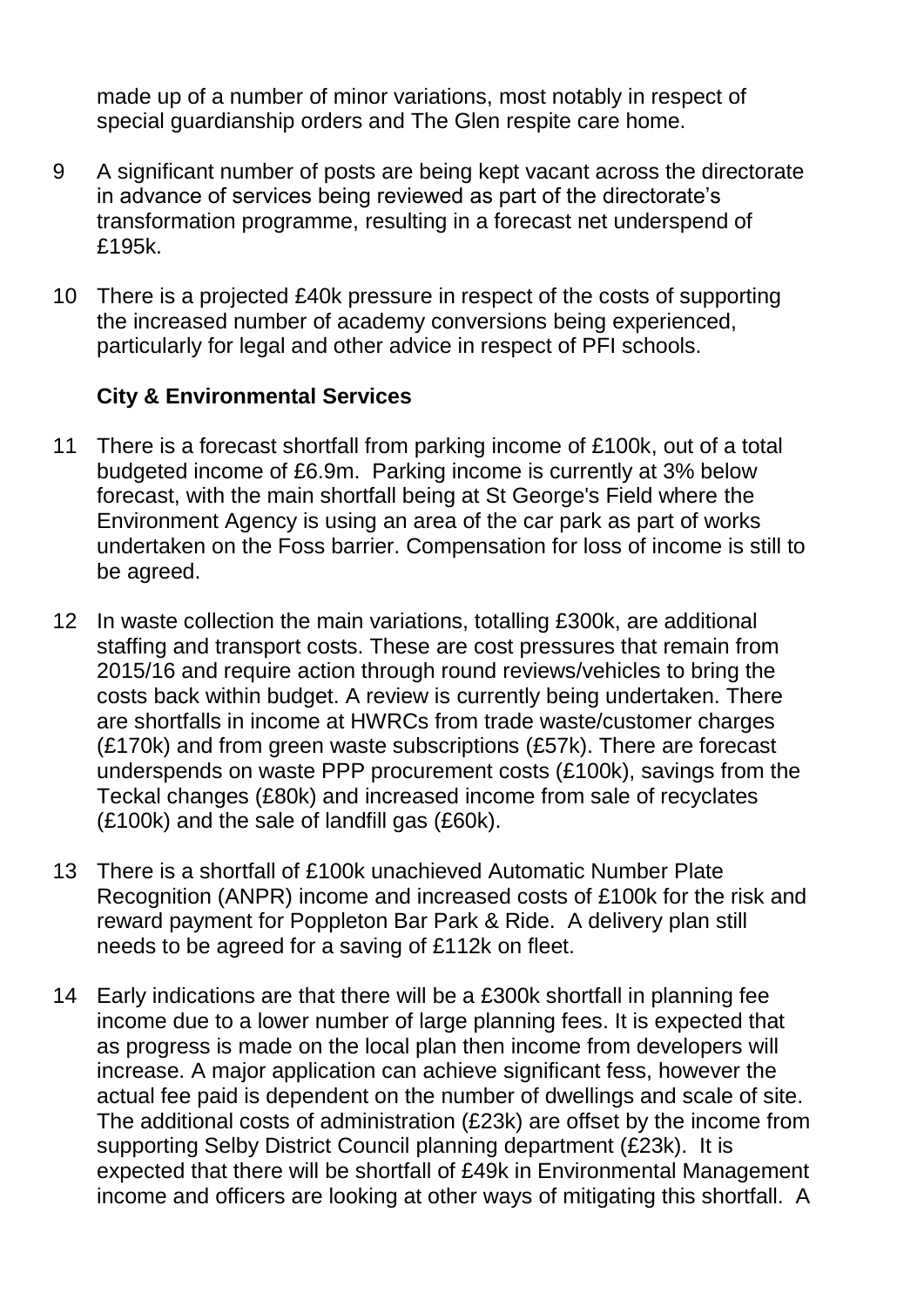made up of a number of minor variations, most notably in respect of special guardianship orders and The Glen respite care home.

- 9 A significant number of posts are being kept vacant across the directorate in advance of services being reviewed as part of the directorate"s transformation programme, resulting in a forecast net underspend of £195k.
- 10 There is a projected £40k pressure in respect of the costs of supporting the increased number of academy conversions being experienced, particularly for legal and other advice in respect of PFI schools.

#### **City & Environmental Services**

- 11 There is a forecast shortfall from parking income of £100k, out of a total budgeted income of £6.9m. Parking income is currently at 3% below forecast, with the main shortfall being at St George's Field where the Environment Agency is using an area of the car park as part of works undertaken on the Foss barrier. Compensation for loss of income is still to be agreed.
- 12 In waste collection the main variations, totalling £300k, are additional staffing and transport costs. These are cost pressures that remain from 2015/16 and require action through round reviews/vehicles to bring the costs back within budget. A review is currently being undertaken. There are shortfalls in income at HWRCs from trade waste/customer charges (£170k) and from green waste subscriptions (£57k). There are forecast underspends on waste PPP procurement costs (£100k), savings from the Teckal changes (£80k) and increased income from sale of recyclates (£100k) and the sale of landfill gas (£60k).
- 13 There is a shortfall of £100k unachieved Automatic Number Plate Recognition (ANPR) income and increased costs of £100k for the risk and reward payment for Poppleton Bar Park & Ride. A delivery plan still needs to be agreed for a saving of £112k on fleet.
- 14 Early indications are that there will be a £300k shortfall in planning fee income due to a lower number of large planning fees. It is expected that as progress is made on the local plan then income from developers will increase. A major application can achieve significant fess, however the actual fee paid is dependent on the number of dwellings and scale of site. The additional costs of administration (£23k) are offset by the income from supporting Selby District Council planning department (£23k). It is expected that there will be shortfall of £49k in Environmental Management income and officers are looking at other ways of mitigating this shortfall. A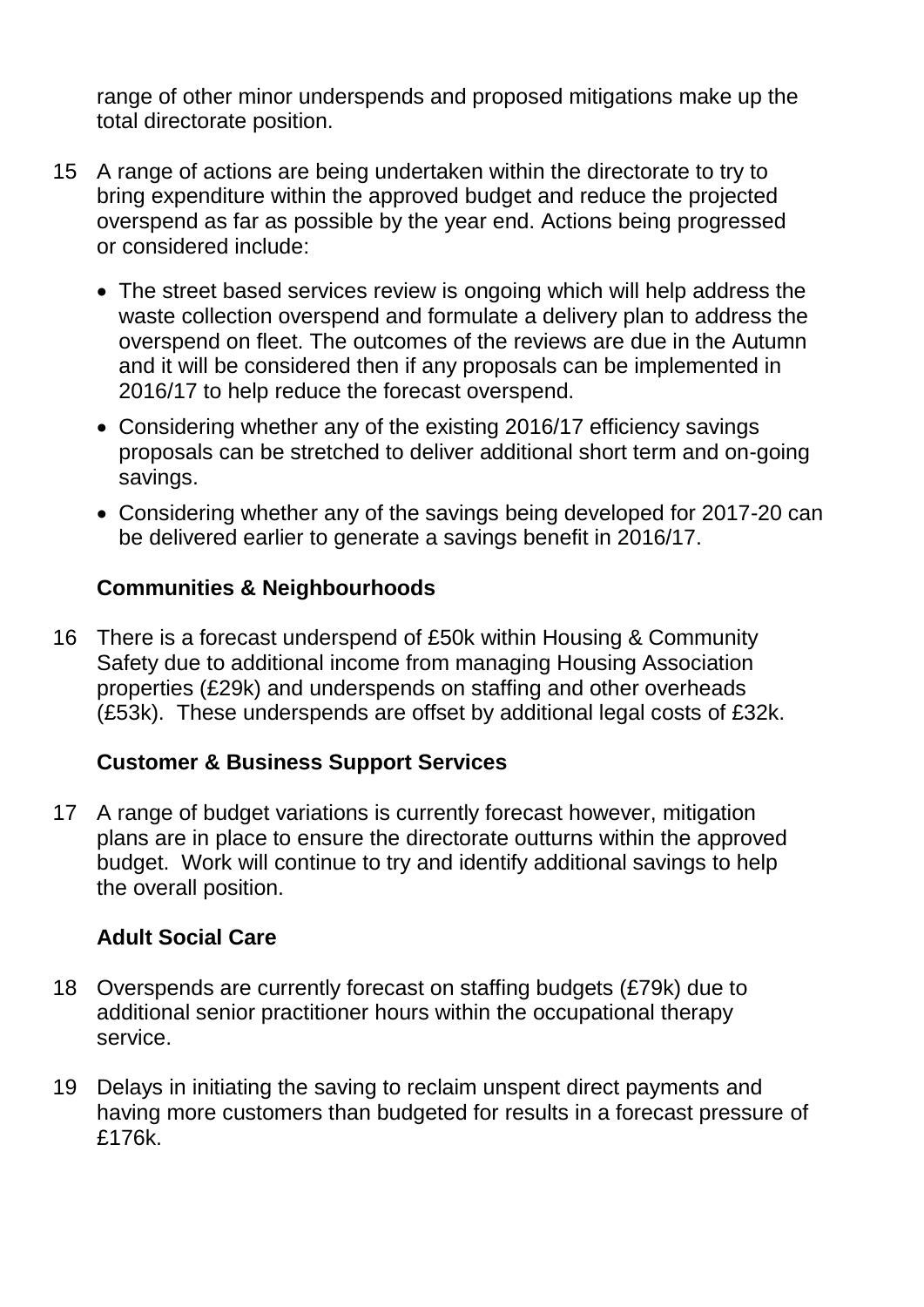range of other minor underspends and proposed mitigations make up the total directorate position.

- 15 A range of actions are being undertaken within the directorate to try to bring expenditure within the approved budget and reduce the projected overspend as far as possible by the year end. Actions being progressed or considered include:
	- The street based services review is ongoing which will help address the waste collection overspend and formulate a delivery plan to address the overspend on fleet. The outcomes of the reviews are due in the Autumn and it will be considered then if any proposals can be implemented in 2016/17 to help reduce the forecast overspend.
	- Considering whether any of the existing 2016/17 efficiency savings proposals can be stretched to deliver additional short term and on-going savings.
	- Considering whether any of the savings being developed for 2017-20 can be delivered earlier to generate a savings benefit in 2016/17.

### **Communities & Neighbourhoods**

16 There is a forecast underspend of £50k within Housing & Community Safety due to additional income from managing Housing Association properties (£29k) and underspends on staffing and other overheads (£53k). These underspends are offset by additional legal costs of £32k.

# **Customer & Business Support Services**

17 A range of budget variations is currently forecast however, mitigation plans are in place to ensure the directorate outturns within the approved budget. Work will continue to try and identify additional savings to help the overall position.

# **Adult Social Care**

- 18 Overspends are currently forecast on staffing budgets (£79k) due to additional senior practitioner hours within the occupational therapy service.
- 19 Delays in initiating the saving to reclaim unspent direct payments and having more customers than budgeted for results in a forecast pressure of £176k.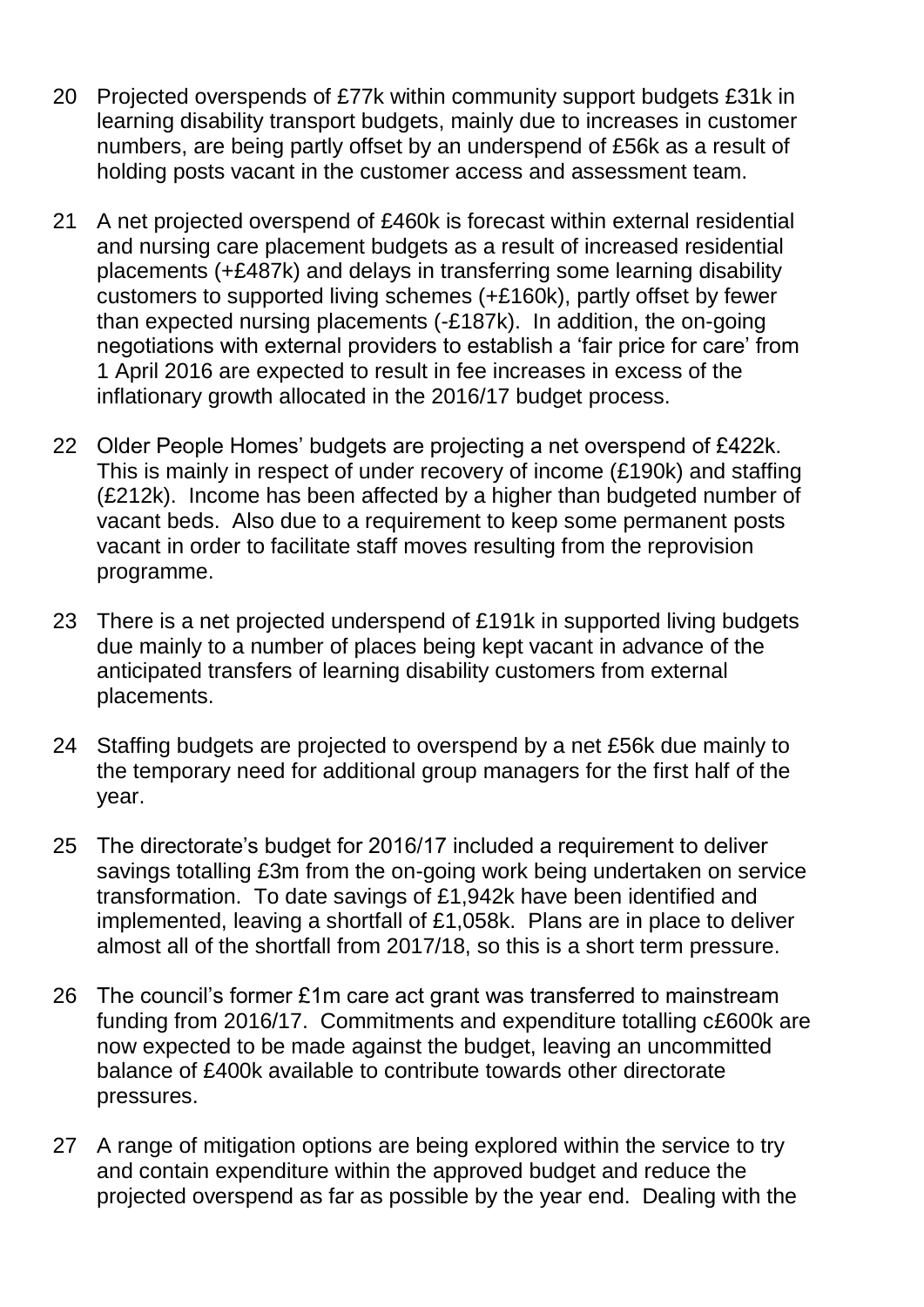- 20 Projected overspends of £77k within community support budgets £31k in learning disability transport budgets, mainly due to increases in customer numbers, are being partly offset by an underspend of £56k as a result of holding posts vacant in the customer access and assessment team.
- 21 A net projected overspend of £460k is forecast within external residential and nursing care placement budgets as a result of increased residential placements (+£487k) and delays in transferring some learning disability customers to supported living schemes (+£160k), partly offset by fewer than expected nursing placements (-£187k). In addition, the on-going negotiations with external providers to establish a "fair price for care" from 1 April 2016 are expected to result in fee increases in excess of the inflationary growth allocated in the 2016/17 budget process.
- 22 Older People Homes" budgets are projecting a net overspend of £422k. This is mainly in respect of under recovery of income (£190k) and staffing (£212k). Income has been affected by a higher than budgeted number of vacant beds. Also due to a requirement to keep some permanent posts vacant in order to facilitate staff moves resulting from the reprovision programme.
- 23 There is a net projected underspend of £191k in supported living budgets due mainly to a number of places being kept vacant in advance of the anticipated transfers of learning disability customers from external placements.
- 24 Staffing budgets are projected to overspend by a net £56k due mainly to the temporary need for additional group managers for the first half of the year.
- 25 The directorate"s budget for 2016/17 included a requirement to deliver savings totalling £3m from the on-going work being undertaken on service transformation. To date savings of £1,942k have been identified and implemented, leaving a shortfall of £1,058k. Plans are in place to deliver almost all of the shortfall from 2017/18, so this is a short term pressure.
- 26 The council"s former £1m care act grant was transferred to mainstream funding from 2016/17. Commitments and expenditure totalling c£600k are now expected to be made against the budget, leaving an uncommitted balance of £400k available to contribute towards other directorate pressures.
- 27 A range of mitigation options are being explored within the service to try and contain expenditure within the approved budget and reduce the projected overspend as far as possible by the year end. Dealing with the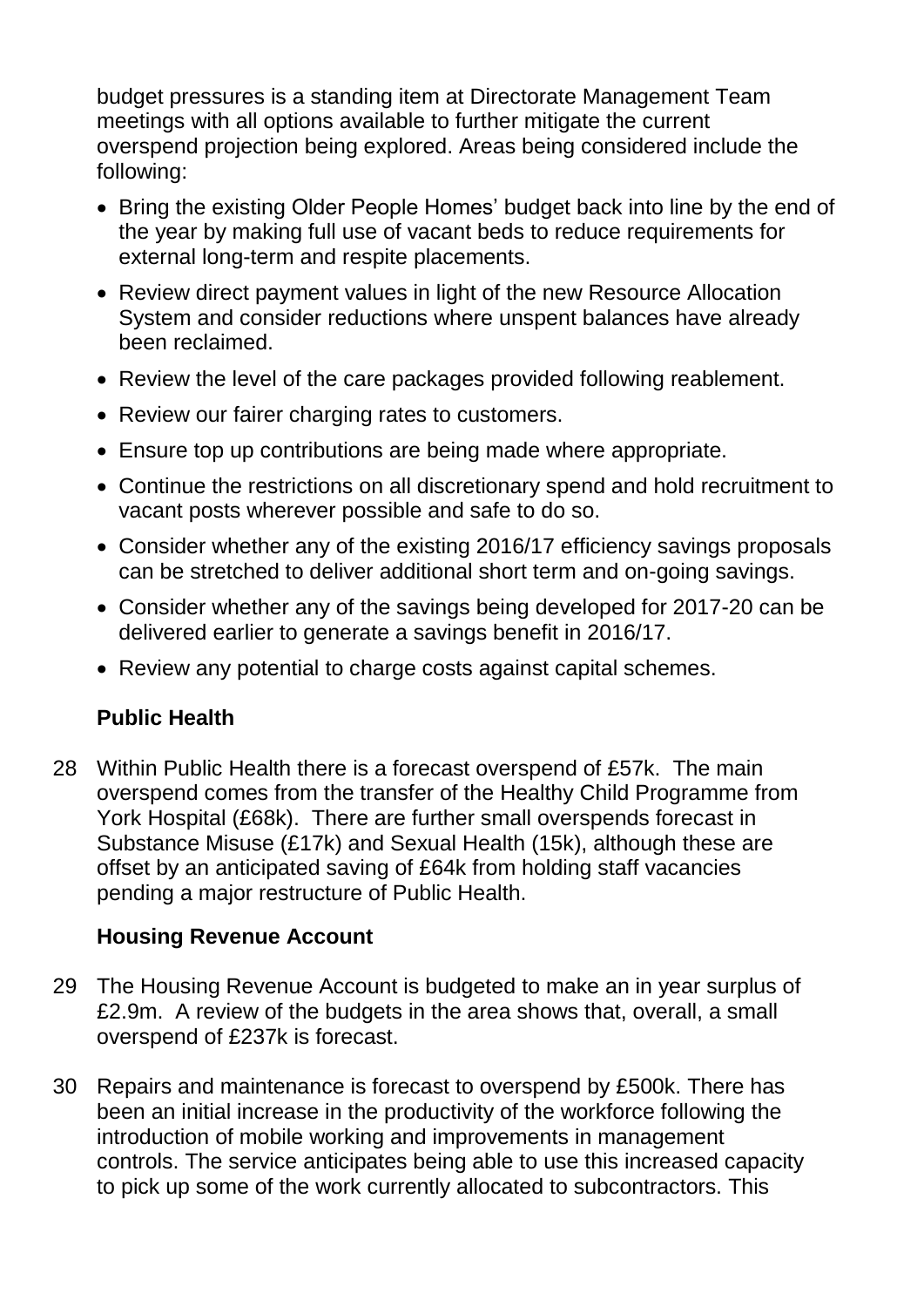budget pressures is a standing item at Directorate Management Team meetings with all options available to further mitigate the current overspend projection being explored. Areas being considered include the following:

- Bring the existing Older People Homes' budget back into line by the end of the year by making full use of vacant beds to reduce requirements for external long-term and respite placements.
- Review direct payment values in light of the new Resource Allocation System and consider reductions where unspent balances have already been reclaimed.
- Review the level of the care packages provided following reablement.
- Review our fairer charging rates to customers.
- Ensure top up contributions are being made where appropriate.
- Continue the restrictions on all discretionary spend and hold recruitment to vacant posts wherever possible and safe to do so.
- Consider whether any of the existing 2016/17 efficiency savings proposals can be stretched to deliver additional short term and on-going savings.
- Consider whether any of the savings being developed for 2017-20 can be delivered earlier to generate a savings benefit in 2016/17.
- Review any potential to charge costs against capital schemes.

# **Public Health**

28 Within Public Health there is a forecast overspend of £57k. The main overspend comes from the transfer of the Healthy Child Programme from York Hospital (£68k). There are further small overspends forecast in Substance Misuse (£17k) and Sexual Health (15k), although these are offset by an anticipated saving of £64k from holding staff vacancies pending a major restructure of Public Health.

# **Housing Revenue Account**

- 29 The Housing Revenue Account is budgeted to make an in year surplus of £2.9m. A review of the budgets in the area shows that, overall, a small overspend of £237k is forecast.
- 30 Repairs and maintenance is forecast to overspend by £500k. There has been an initial increase in the productivity of the workforce following the introduction of mobile working and improvements in management controls. The service anticipates being able to use this increased capacity to pick up some of the work currently allocated to subcontractors. This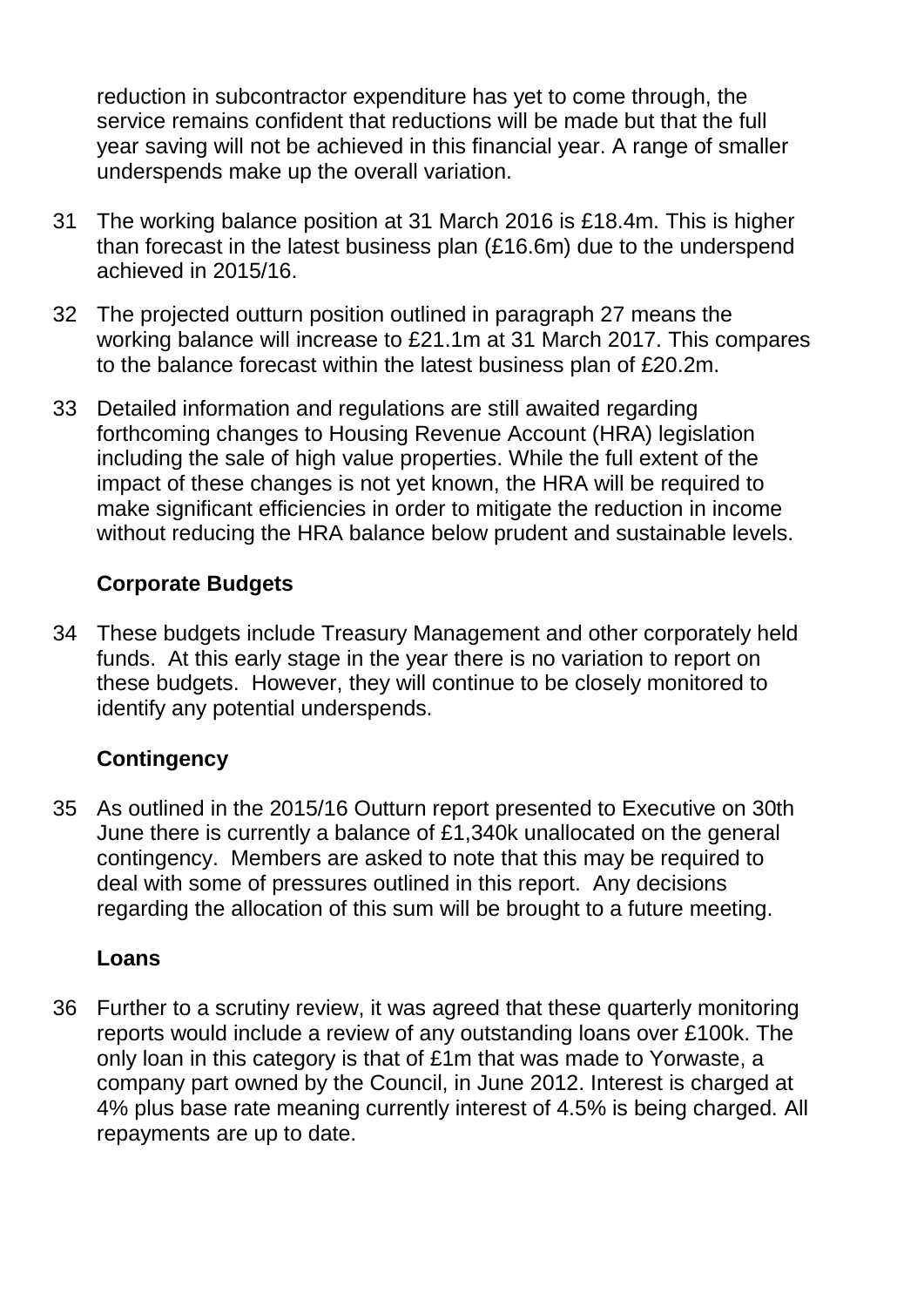reduction in subcontractor expenditure has yet to come through, the service remains confident that reductions will be made but that the full year saving will not be achieved in this financial year. A range of smaller underspends make up the overall variation.

- 31 The working balance position at 31 March 2016 is £18.4m. This is higher than forecast in the latest business plan (£16.6m) due to the underspend achieved in 2015/16.
- 32 The projected outturn position outlined in paragraph 27 means the working balance will increase to £21.1m at 31 March 2017. This compares to the balance forecast within the latest business plan of £20.2m.
- 33 Detailed information and regulations are still awaited regarding forthcoming changes to Housing Revenue Account (HRA) legislation including the sale of high value properties. While the full extent of the impact of these changes is not yet known, the HRA will be required to make significant efficiencies in order to mitigate the reduction in income without reducing the HRA balance below prudent and sustainable levels.

# **Corporate Budgets**

34 These budgets include Treasury Management and other corporately held funds. At this early stage in the year there is no variation to report on these budgets. However, they will continue to be closely monitored to identify any potential underspends.

# **Contingency**

35 As outlined in the 2015/16 Outturn report presented to Executive on 30th June there is currently a balance of £1,340k unallocated on the general contingency. Members are asked to note that this may be required to deal with some of pressures outlined in this report. Any decisions regarding the allocation of this sum will be brought to a future meeting.

# **Loans**

36 Further to a scrutiny review, it was agreed that these quarterly monitoring reports would include a review of any outstanding loans over £100k. The only loan in this category is that of £1m that was made to Yorwaste, a company part owned by the Council, in June 2012. Interest is charged at 4% plus base rate meaning currently interest of 4.5% is being charged. All repayments are up to date.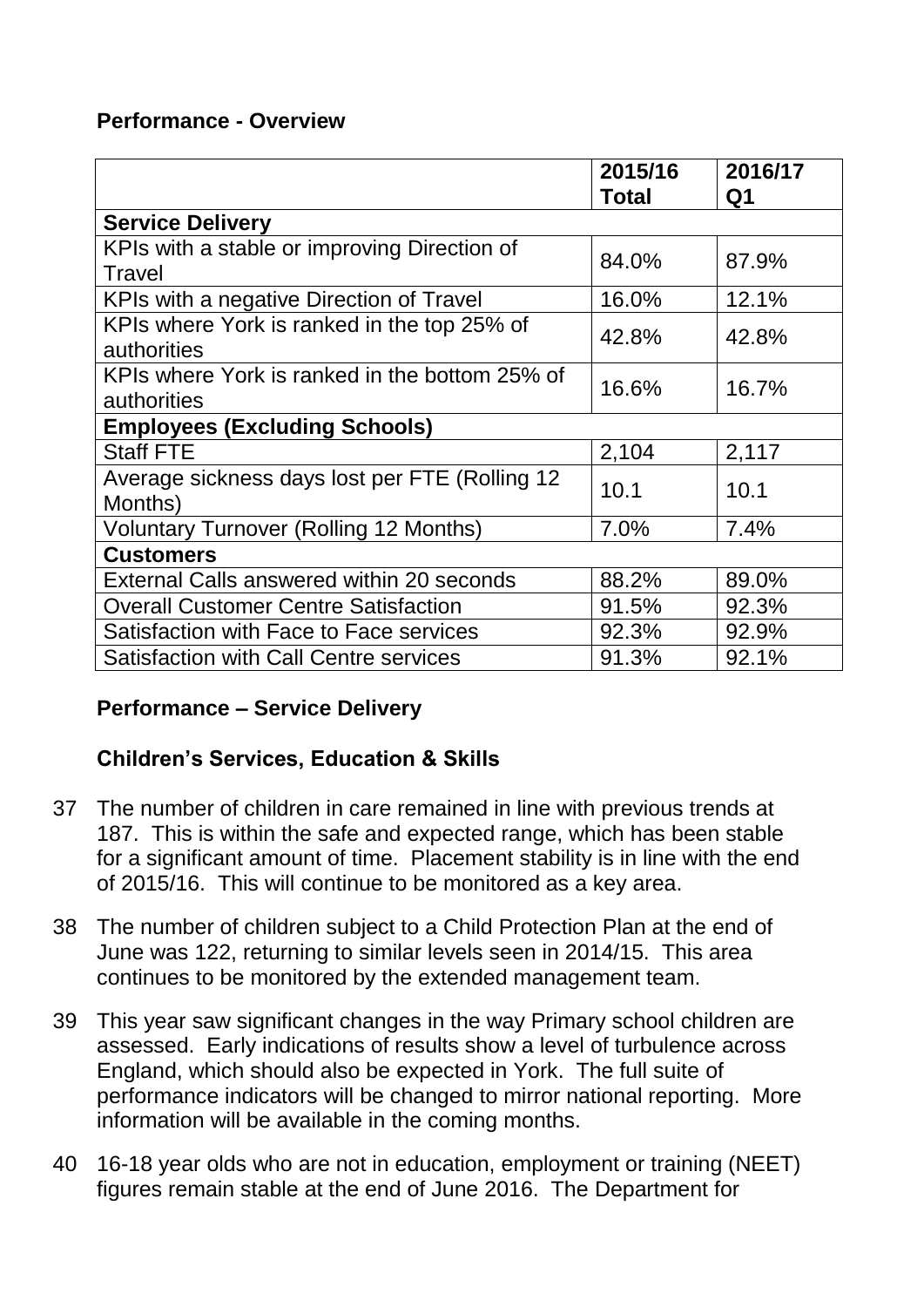### **Performance - Overview**

|                                                               | 2015/16<br><b>Total</b> | 2016/17<br>Q1 |  |  |  |
|---------------------------------------------------------------|-------------------------|---------------|--|--|--|
| <b>Service Delivery</b>                                       |                         |               |  |  |  |
| KPIs with a stable or improving Direction of<br>Travel        | 84.0%                   | 87.9%         |  |  |  |
| KPIs with a negative Direction of Travel                      | 16.0%                   | 12.1%         |  |  |  |
| KPIs where York is ranked in the top 25% of<br>authorities    | 42.8%                   | 42.8%         |  |  |  |
| KPIs where York is ranked in the bottom 25% of<br>authorities | 16.6%                   | 16.7%         |  |  |  |
| <b>Employees (Excluding Schools)</b>                          |                         |               |  |  |  |
| <b>Staff FTE</b>                                              | 2,104                   | 2,117         |  |  |  |
| Average sickness days lost per FTE (Rolling 12)<br>Months)    | 10.1                    | 10.1          |  |  |  |
| <b>Voluntary Turnover (Rolling 12 Months)</b>                 | 7.0%                    | 7.4%          |  |  |  |
| <b>Customers</b>                                              |                         |               |  |  |  |
| External Calls answered within 20 seconds                     | 88.2%                   | 89.0%         |  |  |  |
| <b>Overall Customer Centre Satisfaction</b>                   | 91.5%                   | 92.3%         |  |  |  |
| Satisfaction with Face to Face services                       | 92.3%                   | 92.9%         |  |  |  |
| <b>Satisfaction with Call Centre services</b>                 | 91.3%                   | 92.1%         |  |  |  |

# **Performance – Service Delivery**

# **Children's Services, Education & Skills**

- 37 The number of children in care remained in line with previous trends at 187. This is within the safe and expected range, which has been stable for a significant amount of time. Placement stability is in line with the end of 2015/16. This will continue to be monitored as a key area.
- 38 The number of children subject to a Child Protection Plan at the end of June was 122, returning to similar levels seen in 2014/15. This area continues to be monitored by the extended management team.
- 39 This year saw significant changes in the way Primary school children are assessed. Early indications of results show a level of turbulence across England, which should also be expected in York. The full suite of performance indicators will be changed to mirror national reporting. More information will be available in the coming months.
- 40 16-18 year olds who are not in education, employment or training (NEET) figures remain stable at the end of June 2016. The Department for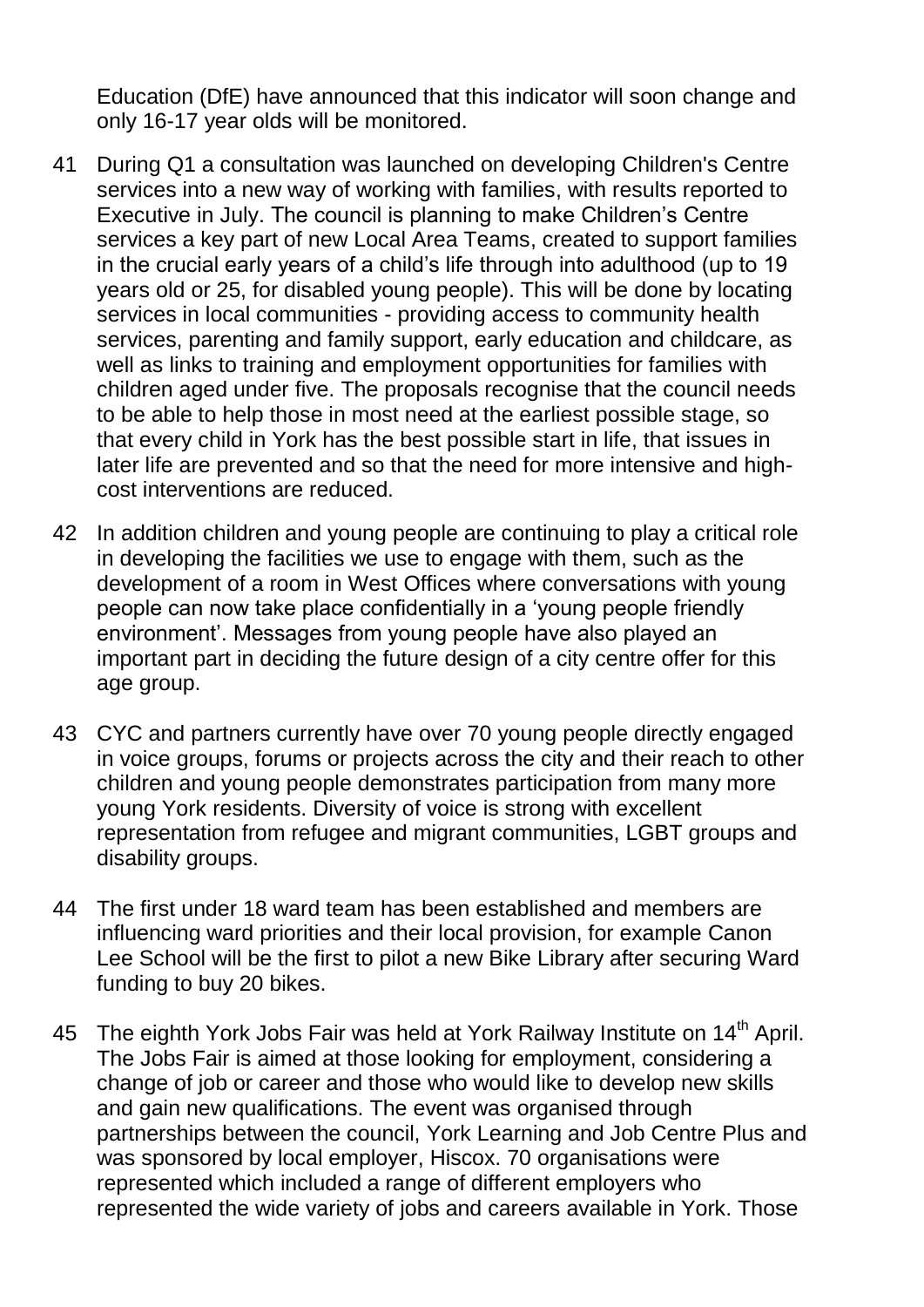Education (DfE) have announced that this indicator will soon change and only 16-17 year olds will be monitored.

- 41 During Q1 a consultation was launched on developing Children's Centre services into a new way of working with families, with results reported to Executive in July. The council is planning to make Children's Centre services a key part of new Local Area Teams, created to support families in the crucial early years of a child"s life through into adulthood (up to 19 years old or 25, for disabled young people). This will be done by locating services in local communities - providing access to community health services, parenting and family support, early education and childcare, as well as links to training and employment opportunities for families with children aged under five. The proposals recognise that the council needs to be able to help those in most need at the earliest possible stage, so that every child in York has the best possible start in life, that issues in later life are prevented and so that the need for more intensive and highcost interventions are reduced.
- 42 In addition children and young people are continuing to play a critical role in developing the facilities we use to engage with them, such as the development of a room in West Offices where conversations with young people can now take place confidentially in a "young people friendly environment". Messages from young people have also played an important part in deciding the future design of a city centre offer for this age group.
- 43 CYC and partners currently have over 70 young people directly engaged in voice groups, forums or projects across the city and their reach to other children and young people demonstrates participation from many more young York residents. Diversity of voice is strong with excellent representation from refugee and migrant communities, LGBT groups and disability groups.
- 44 The first under 18 ward team has been established and members are influencing ward priorities and their local provision, for example Canon Lee School will be the first to pilot a new Bike Library after securing Ward funding to buy 20 bikes.
- 45 The eighth York Jobs Fair was held at York Railway Institute on 14<sup>th</sup> April. The Jobs Fair is aimed at those looking for employment, considering a change of job or career and those who would like to develop new skills and gain new qualifications. The event was organised through partnerships between the council, York Learning and Job Centre Plus and was sponsored by local employer, Hiscox. 70 organisations were represented which included a range of different employers who represented the wide variety of jobs and careers available in York. Those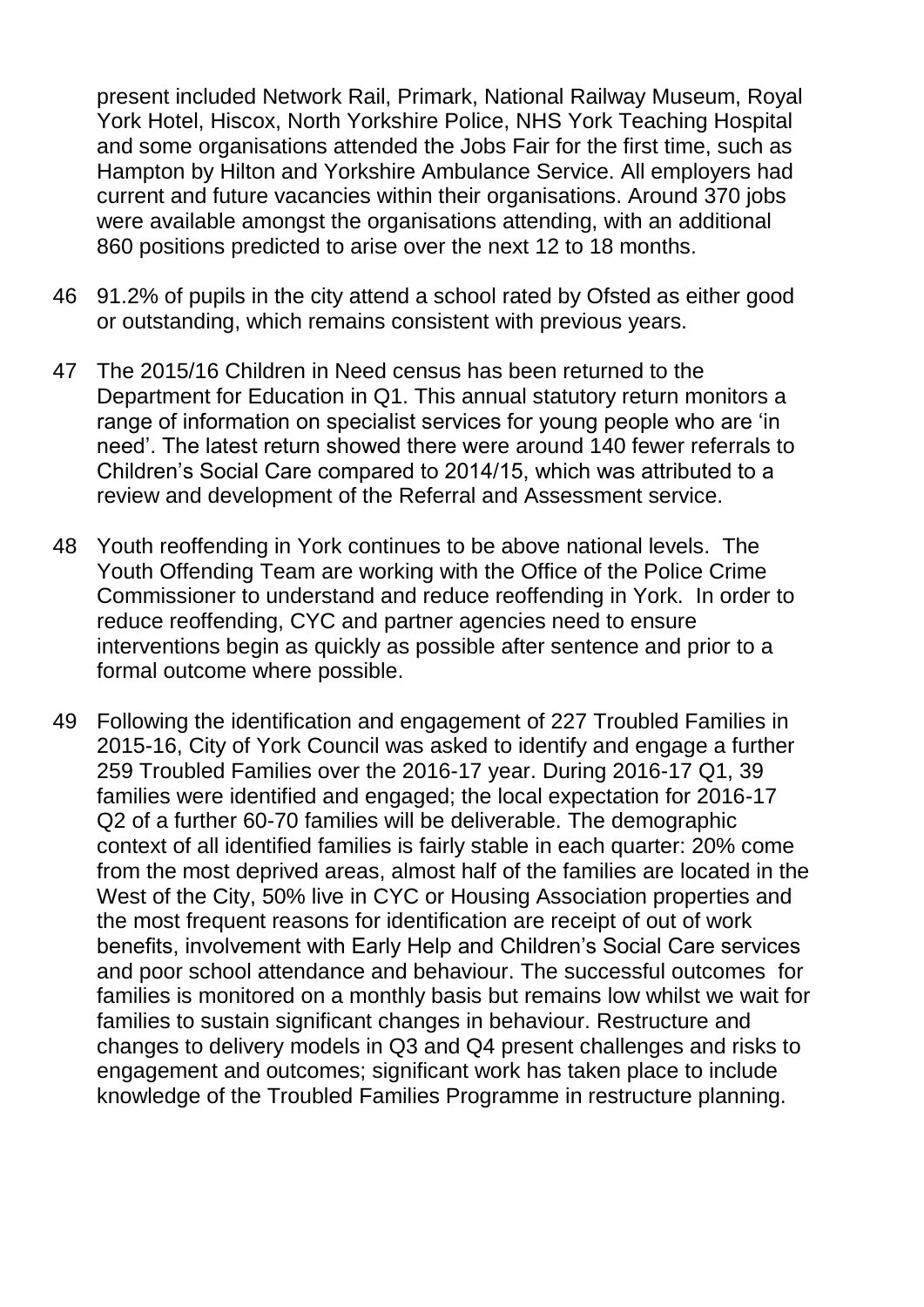present included Network Rail, Primark, National Railway Museum, Royal York Hotel, Hiscox, North Yorkshire Police, NHS York Teaching Hospital and some organisations attended the Jobs Fair for the first time, such as Hampton by Hilton and Yorkshire Ambulance Service. All employers had current and future vacancies within their organisations. Around 370 jobs were available amongst the organisations attending, with an additional 860 positions predicted to arise over the next 12 to 18 months.

- 46 91.2% of pupils in the city attend a school rated by Ofsted as either good or outstanding, which remains consistent with previous years.
- 47 The 2015/16 Children in Need census has been returned to the Department for Education in Q1. This annual statutory return monitors a range of information on specialist services for young people who are "in need". The latest return showed there were around 140 fewer referrals to Children"s Social Care compared to 2014/15, which was attributed to a review and development of the Referral and Assessment service.
- 48 Youth reoffending in York continues to be above national levels. The Youth Offending Team are working with the Office of the Police Crime Commissioner to understand and reduce reoffending in York. In order to reduce reoffending, CYC and partner agencies need to ensure interventions begin as quickly as possible after sentence and prior to a formal outcome where possible.
- 49 Following the identification and engagement of 227 Troubled Families in 2015-16, City of York Council was asked to identify and engage a further 259 Troubled Families over the 2016-17 year. During 2016-17 Q1, 39 families were identified and engaged; the local expectation for 2016-17 Q2 of a further 60-70 families will be deliverable. The demographic context of all identified families is fairly stable in each quarter: 20% come from the most deprived areas, almost half of the families are located in the West of the City, 50% live in CYC or Housing Association properties and the most frequent reasons for identification are receipt of out of work benefits, involvement with Early Help and Children"s Social Care services and poor school attendance and behaviour. The successful outcomes for families is monitored on a monthly basis but remains low whilst we wait for families to sustain significant changes in behaviour. Restructure and changes to delivery models in Q3 and Q4 present challenges and risks to engagement and outcomes; significant work has taken place to include knowledge of the Troubled Families Programme in restructure planning.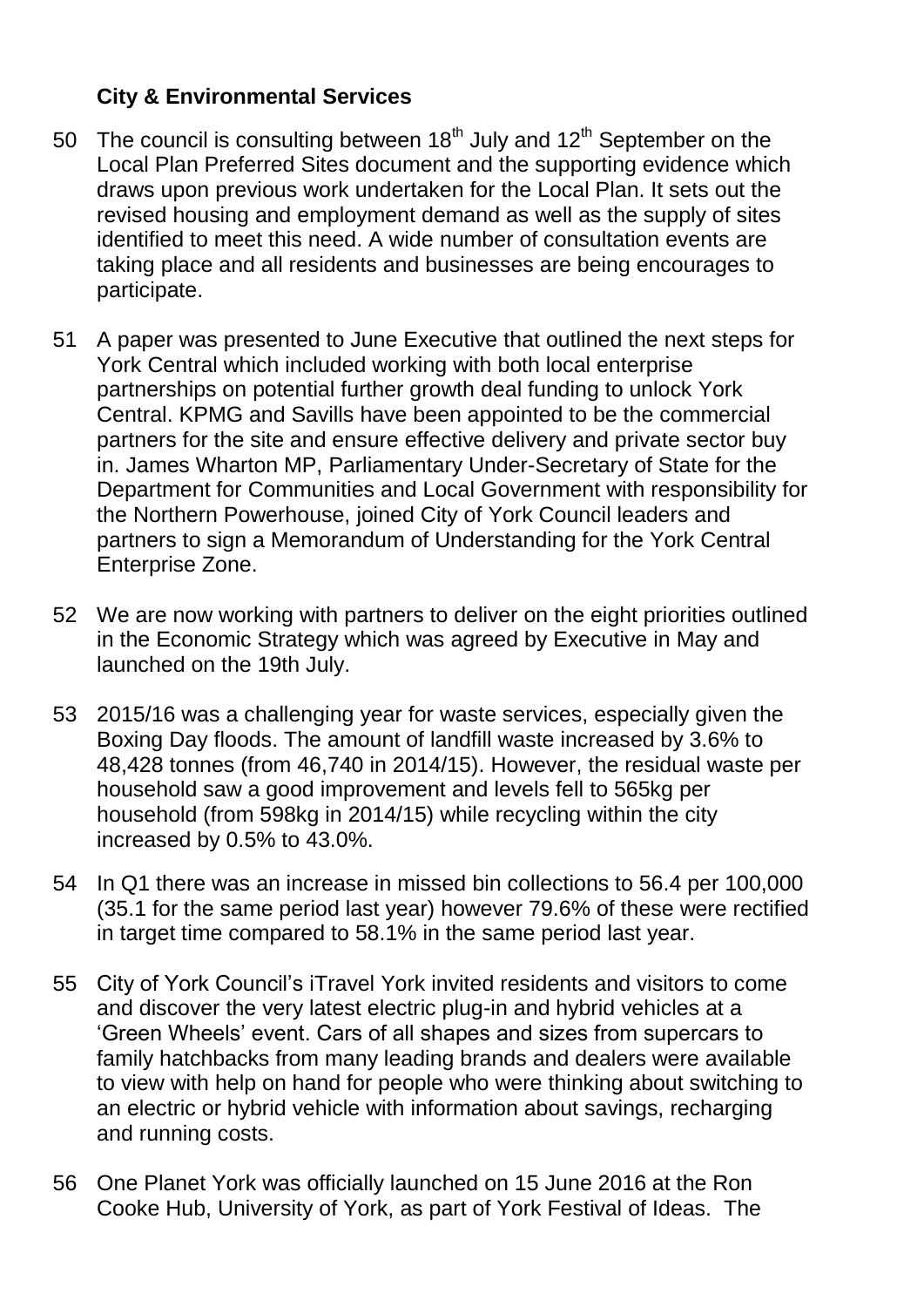# **City & Environmental Services**

- 50 The council is consulting between  $18<sup>th</sup>$  July and  $12<sup>th</sup>$  September on the Local Plan Preferred Sites document and the supporting evidence which draws upon previous work undertaken for the Local Plan. It sets out the revised housing and employment demand as well as the supply of sites identified to meet this need. A wide number of consultation events are taking place and all residents and businesses are being encourages to participate.
- 51 A paper was presented to June Executive that outlined the next steps for York Central which included working with both local enterprise partnerships on potential further growth deal funding to unlock York Central. KPMG and Savills have been appointed to be the commercial partners for the site and ensure effective delivery and private sector buy in. James Wharton MP, Parliamentary Under-Secretary of State for the Department for Communities and Local Government with responsibility for the Northern Powerhouse, joined City of York Council leaders and partners to sign a Memorandum of Understanding for the York Central Enterprise Zone.
- 52 We are now working with partners to deliver on the eight priorities outlined in the Economic Strategy which was agreed by Executive in May and launched on the 19th July.
- 53 2015/16 was a challenging year for waste services, especially given the Boxing Day floods. The amount of landfill waste increased by 3.6% to 48,428 tonnes (from 46,740 in 2014/15). However, the residual waste per household saw a good improvement and levels fell to 565kg per household (from 598kg in 2014/15) while recycling within the city increased by 0.5% to 43.0%.
- 54 In Q1 there was an increase in missed bin collections to 56.4 per 100,000 (35.1 for the same period last year) however 79.6% of these were rectified in target time compared to 58.1% in the same period last year.
- 55 City of York Council"s iTravel York invited residents and visitors to come and discover the very latest electric plug-in and hybrid vehicles at a "Green Wheels" event. Cars of all shapes and sizes from supercars to family hatchbacks from many leading brands and dealers were available to view with help on hand for people who were thinking about switching to an electric or hybrid vehicle with information about savings, recharging and running costs.
- 56 One Planet York was officially launched on 15 June 2016 at the Ron Cooke Hub, University of York, as part of York Festival of Ideas. The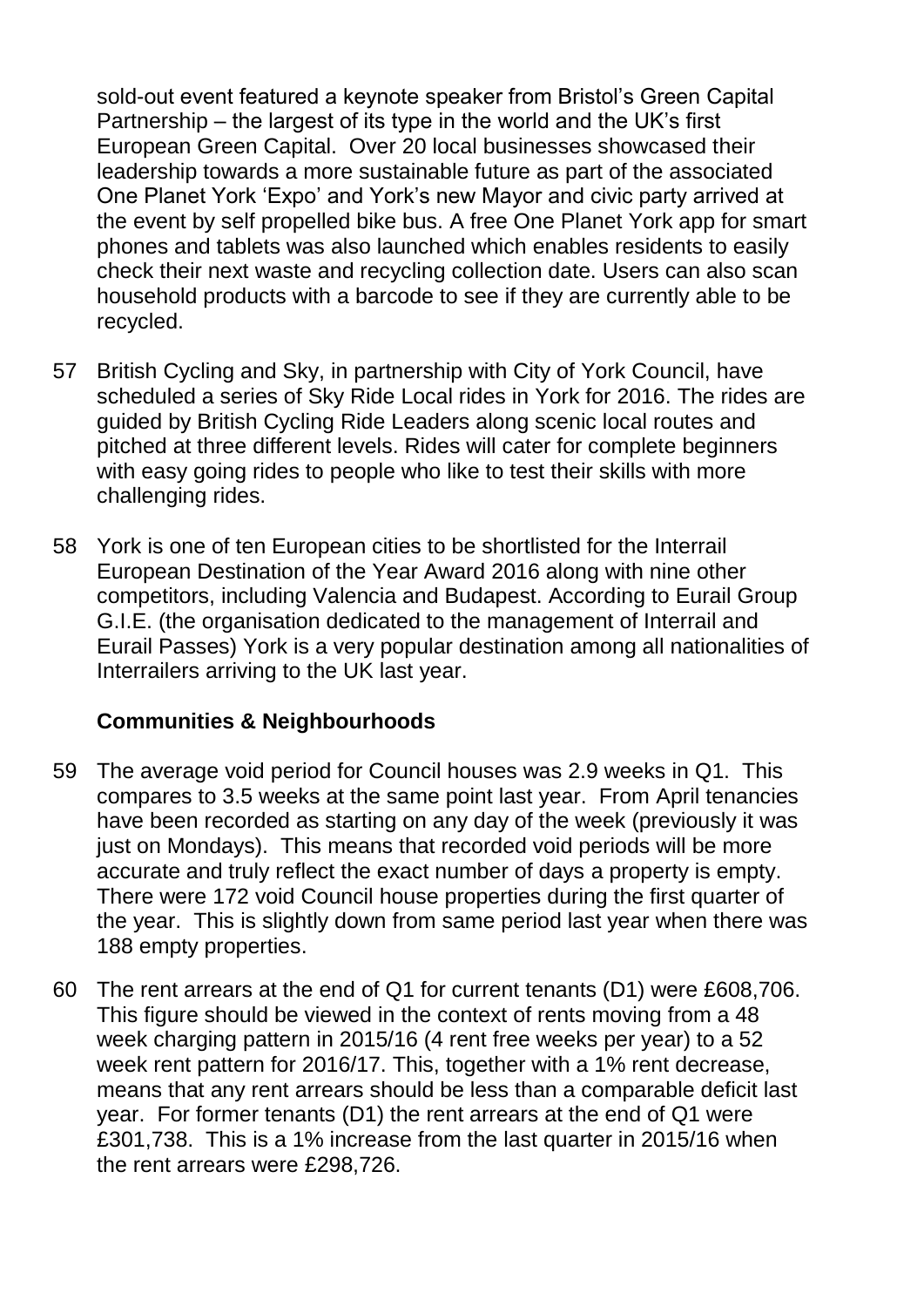sold-out event featured a keynote speaker from Bristol"s Green Capital Partnership – the largest of its type in the world and the UK"s first European Green Capital. Over 20 local businesses showcased their leadership towards a more sustainable future as part of the associated One Planet York "Expo" and York"s new Mayor and civic party arrived at the event by self propelled bike bus. A free One Planet York app for smart phones and tablets was also launched which enables residents to easily check their next waste and recycling collection date. Users can also scan household products with a barcode to see if they are currently able to be recycled.

- 57 British Cycling and Sky, in partnership with City of York Council, have scheduled a series of Sky Ride Local rides in York for 2016. The rides are guided by British Cycling Ride Leaders along scenic local routes and pitched at three different levels. Rides will cater for complete beginners with easy going rides to people who like to test their skills with more challenging rides.
- 58 York is one of ten European cities to be shortlisted for the Interrail European Destination of the Year Award 2016 along with nine other competitors, including Valencia and Budapest. According to Eurail Group G.I.E. (the organisation dedicated to the management of Interrail and Eurail Passes) York is a very popular destination among all nationalities of Interrailers arriving to the UK last year.

# **Communities & Neighbourhoods**

- 59 The average void period for Council houses was 2.9 weeks in Q1. This compares to 3.5 weeks at the same point last year. From April tenancies have been recorded as starting on any day of the week (previously it was just on Mondays). This means that recorded void periods will be more accurate and truly reflect the exact number of days a property is empty. There were 172 void Council house properties during the first quarter of the year. This is slightly down from same period last year when there was 188 empty properties.
- 60 The rent arrears at the end of Q1 for current tenants (D1) were £608,706. This figure should be viewed in the context of rents moving from a 48 week charging pattern in 2015/16 (4 rent free weeks per year) to a 52 week rent pattern for 2016/17. This, together with a 1% rent decrease, means that any rent arrears should be less than a comparable deficit last year. For former tenants (D1) the rent arrears at the end of Q1 were £301,738. This is a 1% increase from the last quarter in 2015/16 when the rent arrears were £298,726.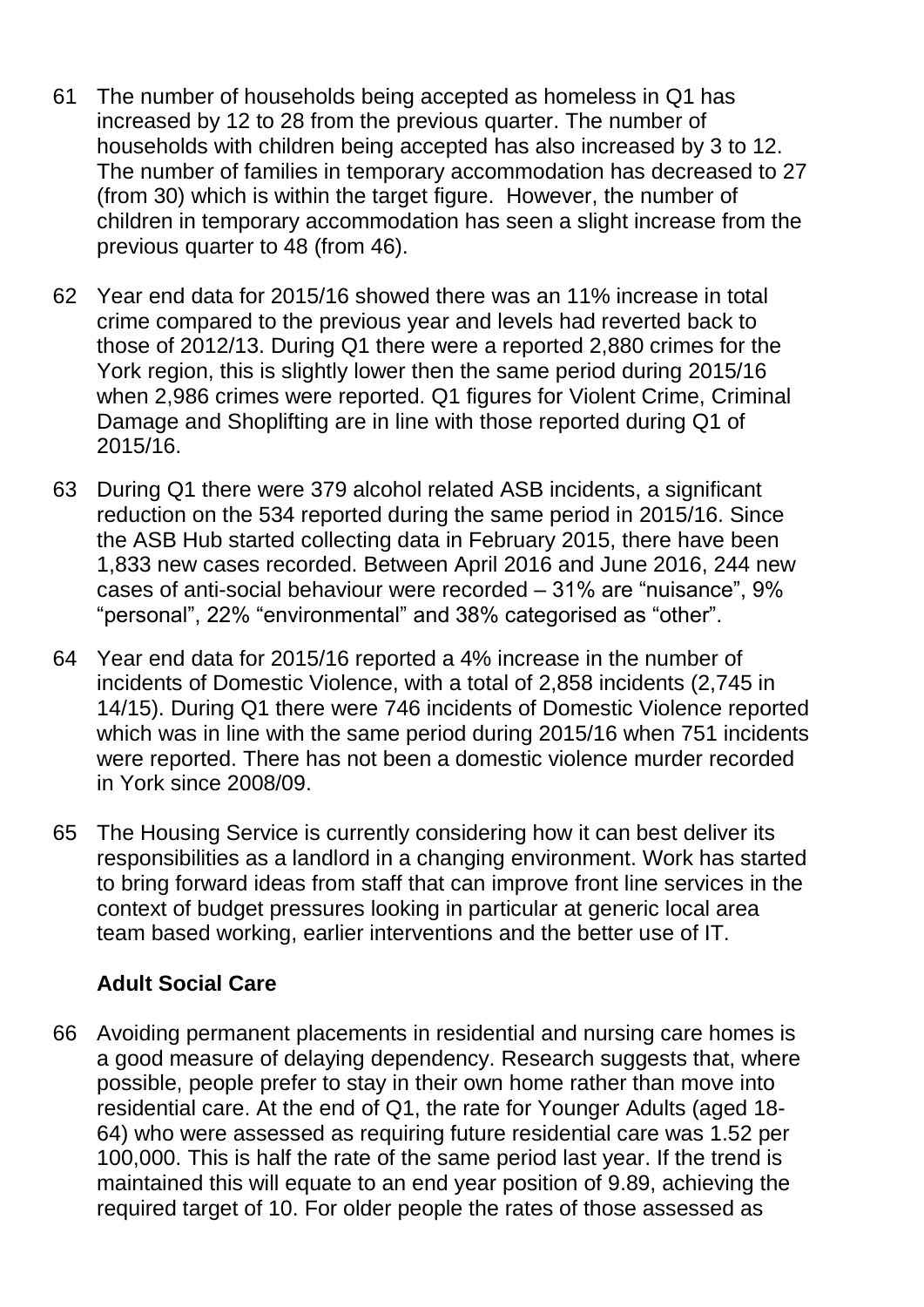- 61 The number of households being accepted as homeless in Q1 has increased by 12 to 28 from the previous quarter. The number of households with children being accepted has also increased by 3 to 12. The number of families in temporary accommodation has decreased to 27 (from 30) which is within the target figure. However, the number of children in temporary accommodation has seen a slight increase from the previous quarter to 48 (from 46).
- 62 Year end data for 2015/16 showed there was an 11% increase in total crime compared to the previous year and levels had reverted back to those of 2012/13. During Q1 there were a reported 2,880 crimes for the York region, this is slightly lower then the same period during 2015/16 when 2,986 crimes were reported. Q1 figures for Violent Crime, Criminal Damage and Shoplifting are in line with those reported during Q1 of 2015/16.
- 63 During Q1 there were 379 alcohol related ASB incidents, a significant reduction on the 534 reported during the same period in 2015/16. Since the ASB Hub started collecting data in February 2015, there have been 1,833 new cases recorded. Between April 2016 and June 2016, 244 new cases of anti-social behaviour were recorded – 31% are "nuisance", 9% "personal", 22% "environmental" and 38% categorised as "other".
- 64 Year end data for 2015/16 reported a 4% increase in the number of incidents of Domestic Violence, with a total of 2,858 incidents (2,745 in 14/15). During Q1 there were 746 incidents of Domestic Violence reported which was in line with the same period during 2015/16 when 751 incidents were reported. There has not been a domestic violence murder recorded in York since 2008/09.
- 65 The Housing Service is currently considering how it can best deliver its responsibilities as a landlord in a changing environment. Work has started to bring forward ideas from staff that can improve front line services in the context of budget pressures looking in particular at generic local area team based working, earlier interventions and the better use of IT.

# **Adult Social Care**

66 Avoiding permanent placements in residential and nursing care homes is a good measure of delaying dependency. Research suggests that, where possible, people prefer to stay in their own home rather than move into residential care. At the end of Q1, the rate for Younger Adults (aged 18- 64) who were assessed as requiring future residential care was 1.52 per 100,000. This is half the rate of the same period last year. If the trend is maintained this will equate to an end year position of 9.89, achieving the required target of 10. For older people the rates of those assessed as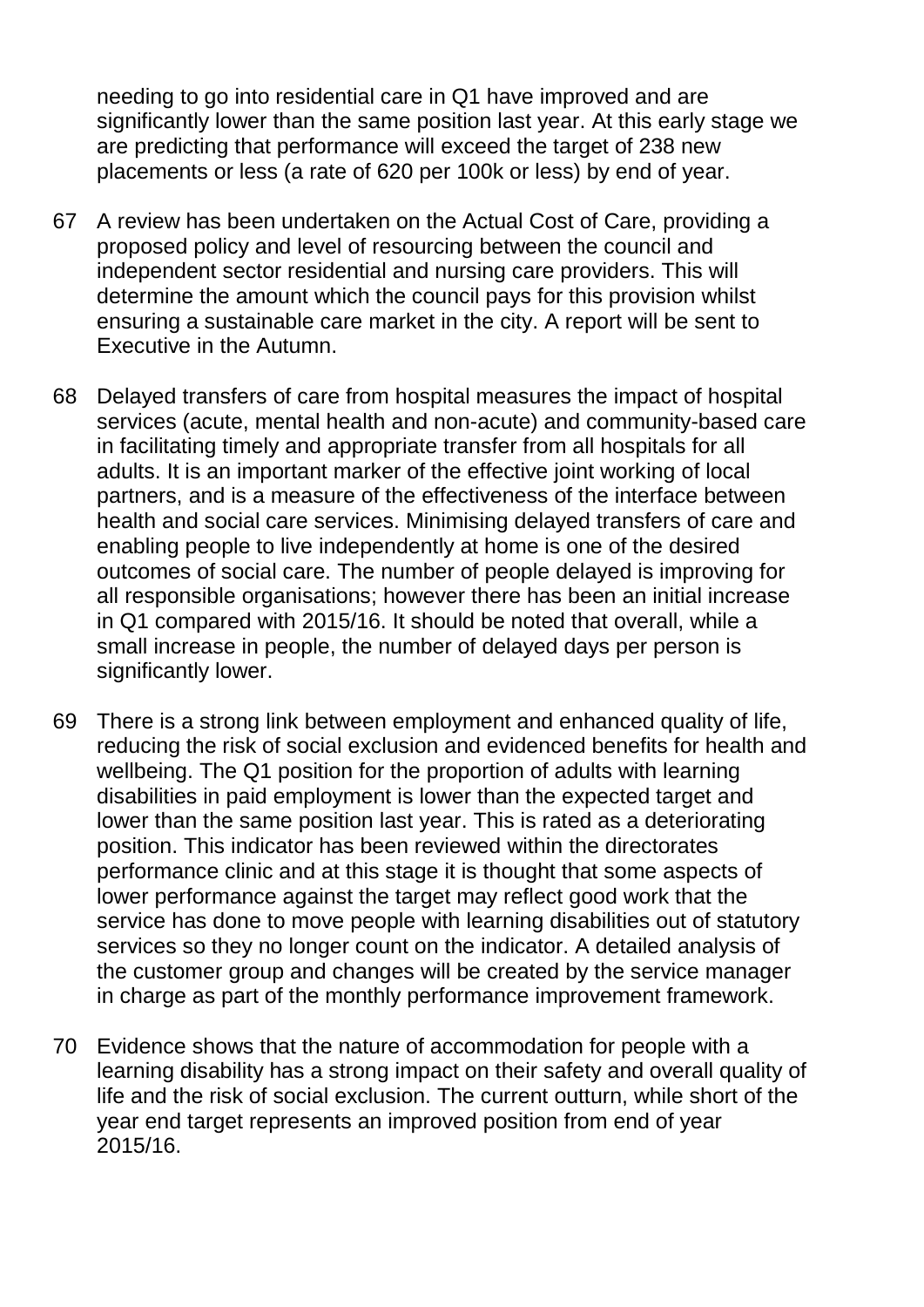needing to go into residential care in Q1 have improved and are significantly lower than the same position last year. At this early stage we are predicting that performance will exceed the target of 238 new placements or less (a rate of 620 per 100k or less) by end of year.

- 67 A review has been undertaken on the Actual Cost of Care, providing a proposed policy and level of resourcing between the council and independent sector residential and nursing care providers. This will determine the amount which the council pays for this provision whilst ensuring a sustainable care market in the city. A report will be sent to Executive in the Autumn.
- 68 Delayed transfers of care from hospital measures the impact of hospital services (acute, mental health and non-acute) and community-based care in facilitating timely and appropriate transfer from all hospitals for all adults. It is an important marker of the effective joint working of local partners, and is a measure of the effectiveness of the interface between health and social care services. Minimising delayed transfers of care and enabling people to live independently at home is one of the desired outcomes of social care. The number of people delayed is improving for all responsible organisations; however there has been an initial increase in Q1 compared with 2015/16. It should be noted that overall, while a small increase in people, the number of delayed days per person is significantly lower.
- 69 There is a strong link between employment and enhanced quality of life, reducing the risk of social exclusion and evidenced benefits for health and wellbeing. The Q1 position for the proportion of adults with learning disabilities in paid employment is lower than the expected target and lower than the same position last year. This is rated as a deteriorating position. This indicator has been reviewed within the directorates performance clinic and at this stage it is thought that some aspects of lower performance against the target may reflect good work that the service has done to move people with learning disabilities out of statutory services so they no longer count on the indicator. A detailed analysis of the customer group and changes will be created by the service manager in charge as part of the monthly performance improvement framework.
- 70 Evidence shows that the nature of accommodation for people with a learning disability has a strong impact on their safety and overall quality of life and the risk of social exclusion. The current outturn, while short of the year end target represents an improved position from end of year 2015/16.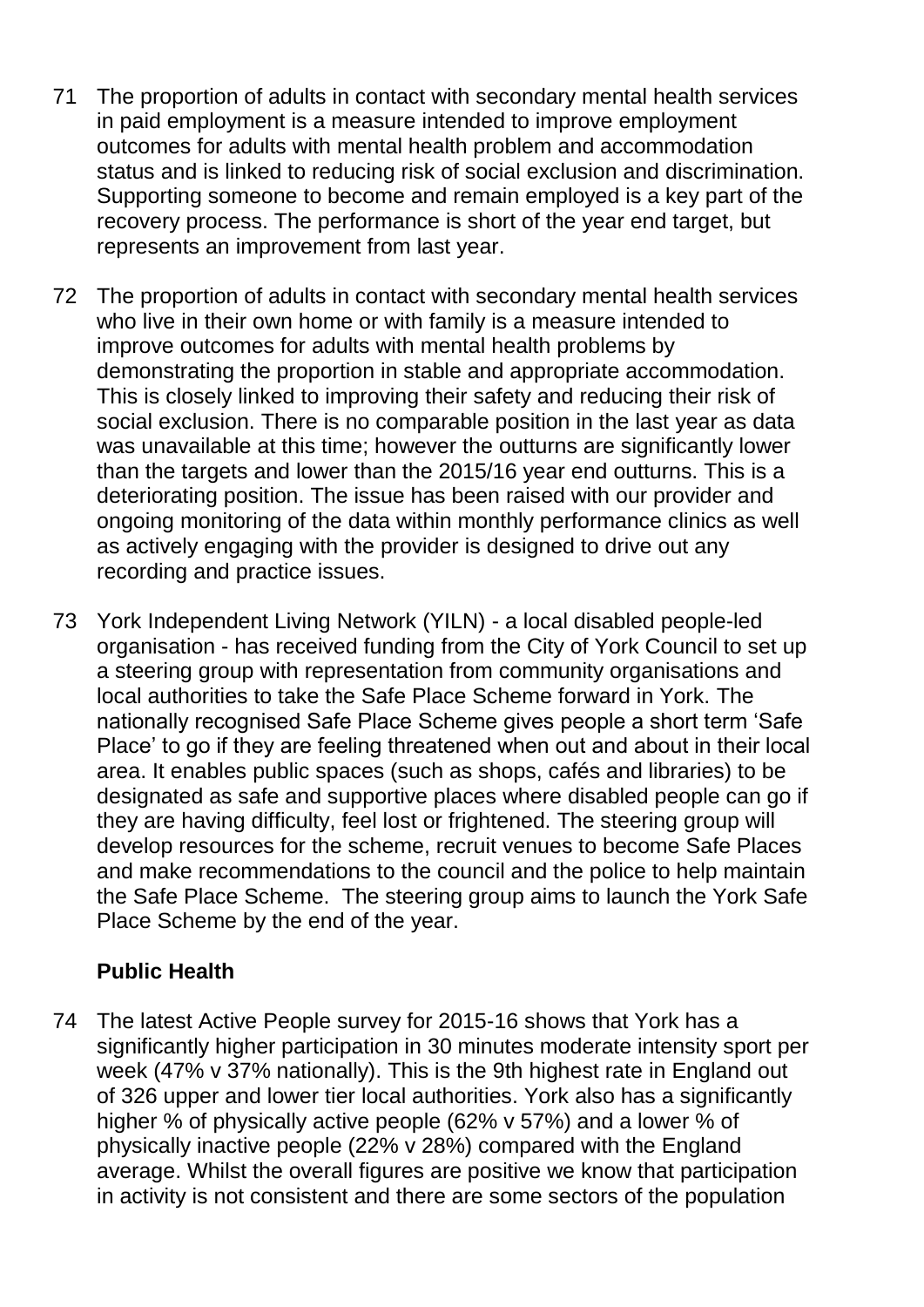- 71 The proportion of adults in contact with secondary mental health services in paid employment is a measure intended to improve employment outcomes for adults with mental health problem and accommodation status and is linked to reducing risk of social exclusion and discrimination. Supporting someone to become and remain employed is a key part of the recovery process. The performance is short of the year end target, but represents an improvement from last year.
- 72 The proportion of adults in contact with secondary mental health services who live in their own home or with family is a measure intended to improve outcomes for adults with mental health problems by demonstrating the proportion in stable and appropriate accommodation. This is closely linked to improving their safety and reducing their risk of social exclusion. There is no comparable position in the last year as data was unavailable at this time; however the outturns are significantly lower than the targets and lower than the 2015/16 year end outturns. This is a deteriorating position. The issue has been raised with our provider and ongoing monitoring of the data within monthly performance clinics as well as actively engaging with the provider is designed to drive out any recording and practice issues.
- 73 York Independent Living Network (YILN) a local disabled people-led organisation - has received funding from the City of York Council to set up a steering group with representation from community organisations and local authorities to take the Safe Place Scheme forward in York. The nationally recognised Safe Place Scheme gives people a short term "Safe Place" to go if they are feeling threatened when out and about in their local area. It enables public spaces (such as shops, cafés and libraries) to be designated as safe and supportive places where disabled people can go if they are having difficulty, feel lost or frightened. The steering group will develop resources for the scheme, recruit venues to become Safe Places and make recommendations to the council and the police to help maintain the Safe Place Scheme. The steering group aims to launch the York Safe Place Scheme by the end of the year.

# **Public Health**

74 The latest Active People survey for 2015-16 shows that York has a significantly higher participation in 30 minutes moderate intensity sport per week (47% v 37% nationally). This is the 9th highest rate in England out of 326 upper and lower tier local authorities. York also has a significantly higher % of physically active people (62% v 57%) and a lower % of physically inactive people (22% v 28%) compared with the England average. Whilst the overall figures are positive we know that participation in activity is not consistent and there are some sectors of the population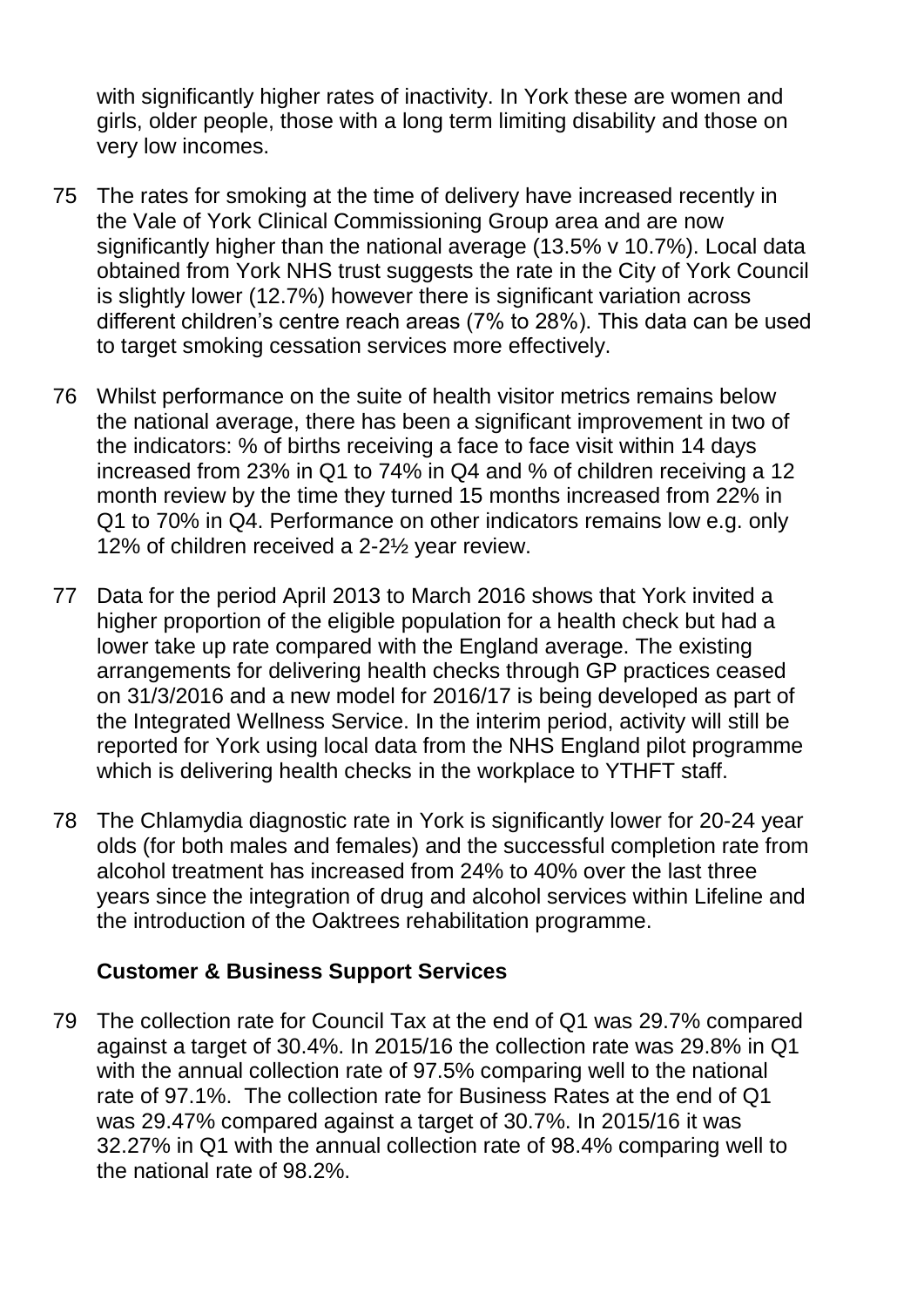with significantly higher rates of inactivity. In York these are women and girls, older people, those with a long term limiting disability and those on very low incomes.

- 75 The rates for smoking at the time of delivery have increased recently in the Vale of York Clinical Commissioning Group area and are now significantly higher than the national average (13.5% v 10.7%). Local data obtained from York NHS trust suggests the rate in the City of York Council is slightly lower (12.7%) however there is significant variation across different children"s centre reach areas (7% to 28%). This data can be used to target smoking cessation services more effectively.
- 76 Whilst performance on the suite of health visitor metrics remains below the national average, there has been a significant improvement in two of the indicators: % of births receiving a face to face visit within 14 days increased from 23% in Q1 to 74% in Q4 and % of children receiving a 12 month review by the time they turned 15 months increased from 22% in Q1 to 70% in Q4. Performance on other indicators remains low e.g. only 12% of children received a 2-2½ year review.
- 77 Data for the period April 2013 to March 2016 shows that York invited a higher proportion of the eligible population for a health check but had a lower take up rate compared with the England average. The existing arrangements for delivering health checks through GP practices ceased on 31/3/2016 and a new model for 2016/17 is being developed as part of the Integrated Wellness Service. In the interim period, activity will still be reported for York using local data from the NHS England pilot programme which is delivering health checks in the workplace to YTHFT staff.
- 78 The Chlamydia diagnostic rate in York is significantly lower for 20-24 year olds (for both males and females) and the successful completion rate from alcohol treatment has increased from 24% to 40% over the last three years since the integration of drug and alcohol services within Lifeline and the introduction of the Oaktrees rehabilitation programme.

#### **Customer & Business Support Services**

79 The collection rate for Council Tax at the end of Q1 was 29.7% compared against a target of 30.4%. In 2015/16 the collection rate was 29.8% in Q1 with the annual collection rate of 97.5% comparing well to the national rate of 97.1%. The collection rate for Business Rates at the end of Q1 was 29.47% compared against a target of 30.7%. In 2015/16 it was 32.27% in Q1 with the annual collection rate of 98.4% comparing well to the national rate of 98.2%.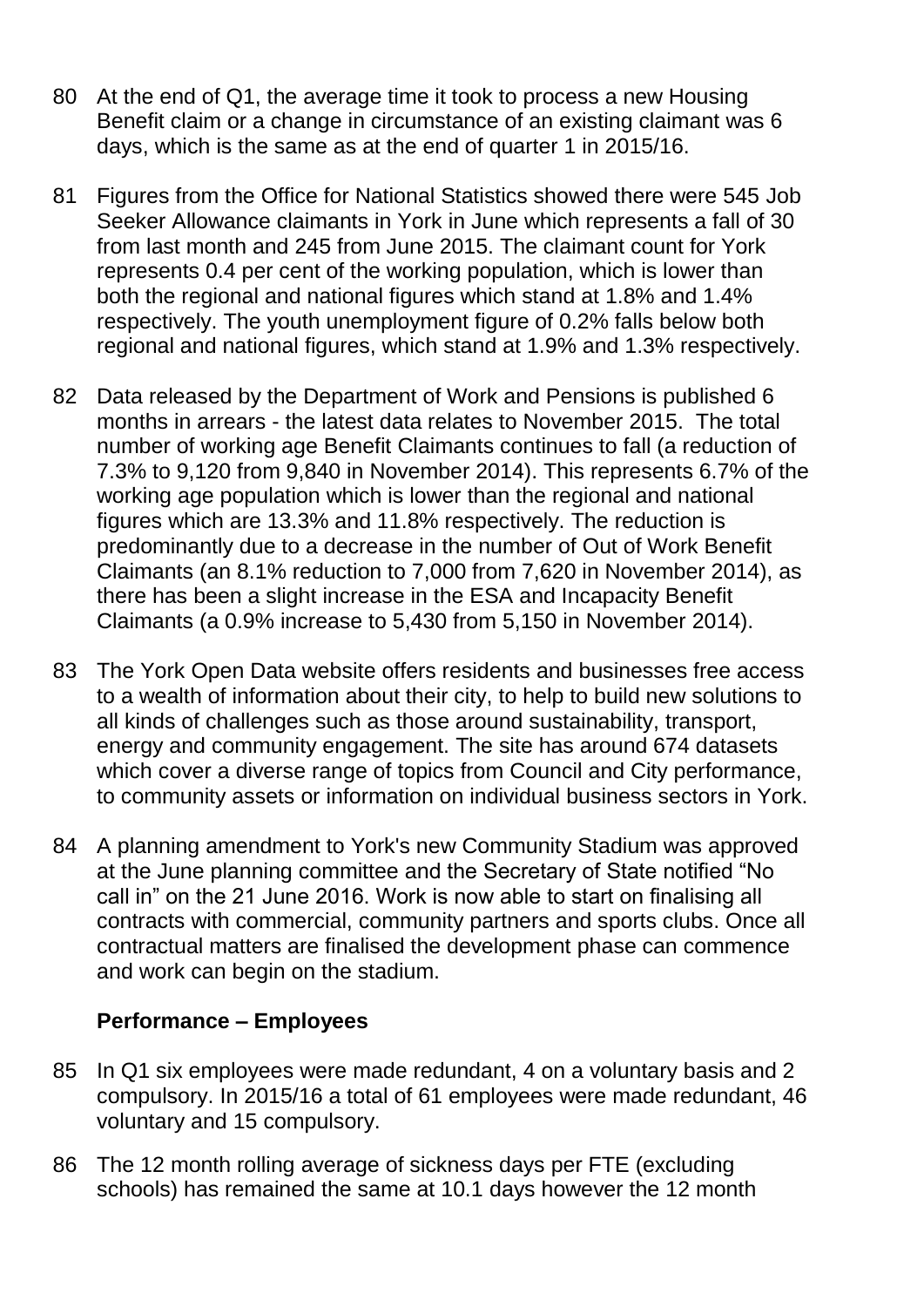- 80 At the end of Q1, the average time it took to process a new Housing Benefit claim or a change in circumstance of an existing claimant was 6 days, which is the same as at the end of quarter 1 in 2015/16.
- 81 Figures from the Office for National Statistics showed there were 545 Job Seeker Allowance claimants in York in June which represents a fall of 30 from last month and 245 from June 2015. The claimant count for York represents 0.4 per cent of the working population, which is lower than both the regional and national figures which stand at 1.8% and 1.4% respectively. The youth unemployment figure of 0.2% falls below both regional and national figures, which stand at 1.9% and 1.3% respectively.
- 82 Data released by the Department of Work and Pensions is published 6 months in arrears - the latest data relates to November 2015. The total number of working age Benefit Claimants continues to fall (a reduction of 7.3% to 9,120 from 9,840 in November 2014). This represents 6.7% of the working age population which is lower than the regional and national figures which are 13.3% and 11.8% respectively. The reduction is predominantly due to a decrease in the number of Out of Work Benefit Claimants (an 8.1% reduction to 7,000 from 7,620 in November 2014), as there has been a slight increase in the ESA and Incapacity Benefit Claimants (a 0.9% increase to 5,430 from 5,150 in November 2014).
- 83 The York Open Data website offers residents and businesses free access to a wealth of information about their city, to help to build new solutions to all kinds of challenges such as those around sustainability, transport, energy and community engagement. The site has around 674 datasets which cover a diverse range of topics from Council and City performance, to community assets or information on individual business sectors in York.
- 84 A planning amendment to York's new Community Stadium was approved at the June planning committee and the Secretary of State notified "No call in" on the 21 June 2016. Work is now able to start on finalising all contracts with commercial, community partners and sports clubs. Once all contractual matters are finalised the development phase can commence and work can begin on the stadium.

#### **Performance – Employees**

- 85 In Q1 six employees were made redundant, 4 on a voluntary basis and 2 compulsory. In 2015/16 a total of 61 employees were made redundant, 46 voluntary and 15 compulsory.
- 86 The 12 month rolling average of sickness days per FTE (excluding schools) has remained the same at 10.1 days however the 12 month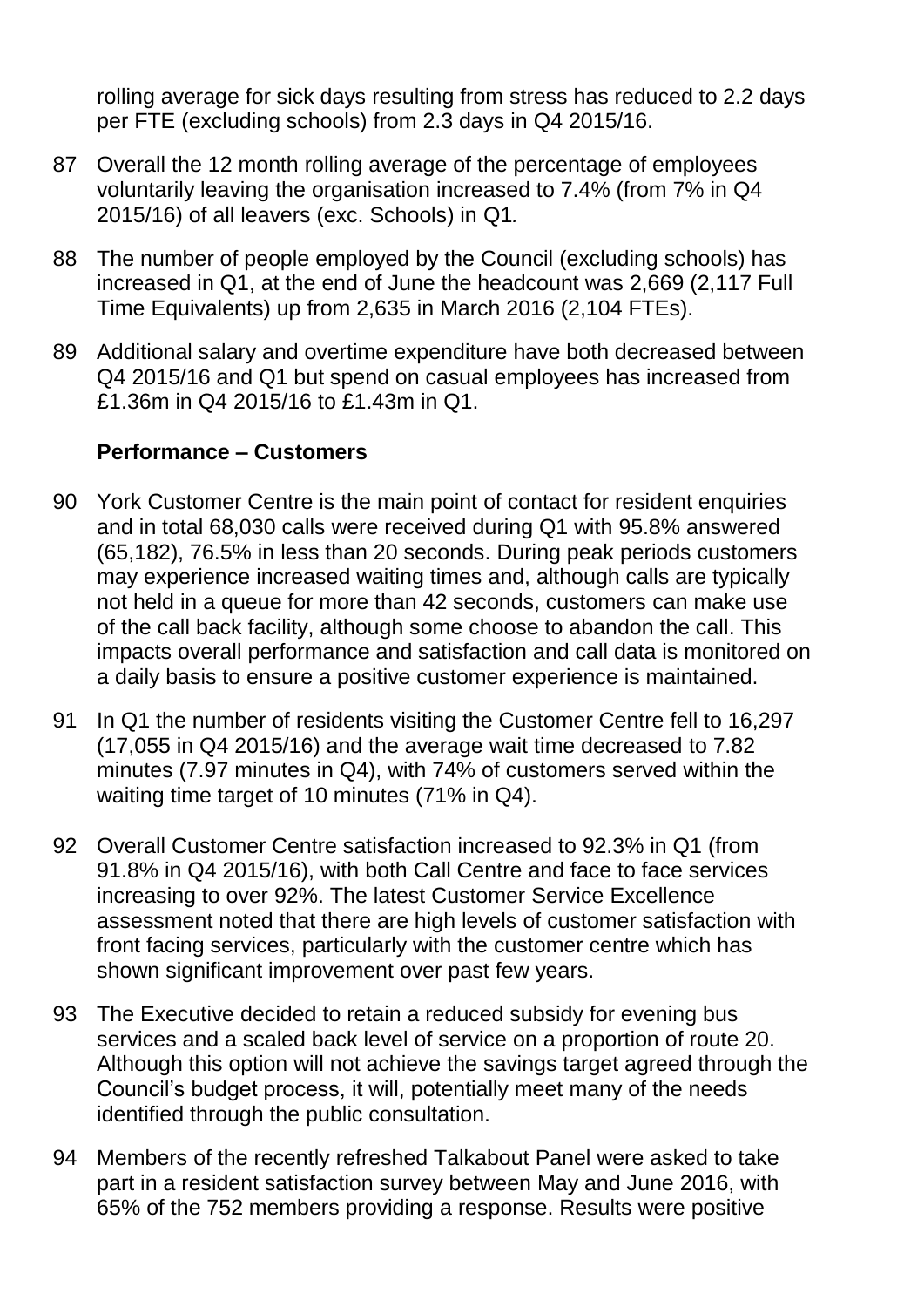rolling average for sick days resulting from stress has reduced to 2.2 days per FTE (excluding schools) from 2.3 days in Q4 2015/16.

- 87 Overall the 12 month rolling average of the percentage of employees voluntarily leaving the organisation increased to 7.4% (from 7% in Q4 2015/16) of all leavers (exc. Schools) in Q1*.*
- 88 The number of people employed by the Council (excluding schools) has increased in Q1, at the end of June the headcount was 2,669 (2,117 Full Time Equivalents) up from 2,635 in March 2016 (2,104 FTEs).
- 89 Additional salary and overtime expenditure have both decreased between Q4 2015/16 and Q1 but spend on casual employees has increased from £1.36m in Q4 2015/16 to £1.43m in Q1.

#### **Performance – Customers**

- 90 York Customer Centre is the main point of contact for resident enquiries and in total 68,030 calls were received during Q1 with 95.8% answered (65,182), 76.5% in less than 20 seconds. During peak periods customers may experience increased waiting times and, although calls are typically not held in a queue for more than 42 seconds, customers can make use of the call back facility, although some choose to abandon the call. This impacts overall performance and satisfaction and call data is monitored on a daily basis to ensure a positive customer experience is maintained.
- 91 In Q1 the number of residents visiting the Customer Centre fell to 16,297 (17,055 in Q4 2015/16) and the average wait time decreased to 7.82 minutes (7.97 minutes in Q4), with 74% of customers served within the waiting time target of 10 minutes (71% in Q4).
- 92 Overall Customer Centre satisfaction increased to 92.3% in Q1 (from 91.8% in Q4 2015/16), with both Call Centre and face to face services increasing to over 92%. The latest Customer Service Excellence assessment noted that there are high levels of customer satisfaction with front facing services, particularly with the customer centre which has shown significant improvement over past few years.
- 93 The Executive decided to retain a reduced subsidy for evening bus services and a scaled back level of service on a proportion of route 20. Although this option will not achieve the savings target agreed through the Council"s budget process, it will, potentially meet many of the needs identified through the public consultation.
- 94 Members of the recently refreshed Talkabout Panel were asked to take part in a resident satisfaction survey between May and June 2016, with 65% of the 752 members providing a response. Results were positive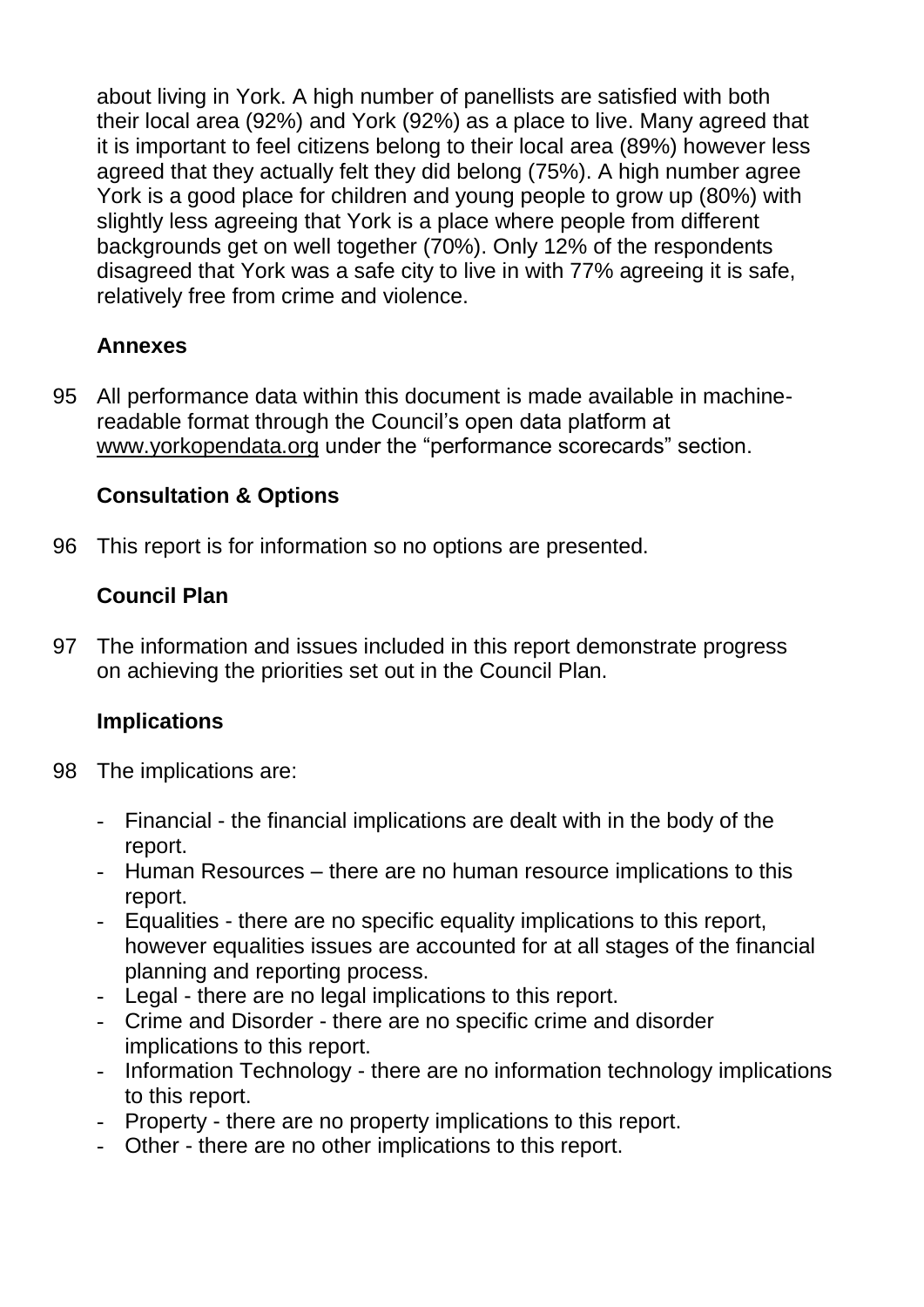about living in York. A high number of panellists are satisfied with both their local area (92%) and York (92%) as a place to live. Many agreed that it is important to feel citizens belong to their local area (89%) however less agreed that they actually felt they did belong (75%). A high number agree York is a good place for children and young people to grow up (80%) with slightly less agreeing that York is a place where people from different backgrounds get on well together (70%). Only 12% of the respondents disagreed that York was a safe city to live in with 77% agreeing it is safe, relatively free from crime and violence.

# **Annexes**

95 All performance data within this document is made available in machinereadable format through the Council"s open data platform at [www.yorkopendata.org](http://www.yorkopendata.org/) under the "performance scorecards" section.

# **Consultation & Options**

96 This report is for information so no options are presented.

# **Council Plan**

97 The information and issues included in this report demonstrate progress on achieving the priorities set out in the Council Plan.

# **Implications**

- 98 The implications are:
	- Financial the financial implications are dealt with in the body of the report.
	- Human Resources there are no human resource implications to this report.
	- Equalities there are no specific equality implications to this report, however equalities issues are accounted for at all stages of the financial planning and reporting process.
	- Legal there are no legal implications to this report.
	- Crime and Disorder there are no specific crime and disorder implications to this report.
	- Information Technology there are no information technology implications to this report.
	- Property there are no property implications to this report.
	- Other there are no other implications to this report.